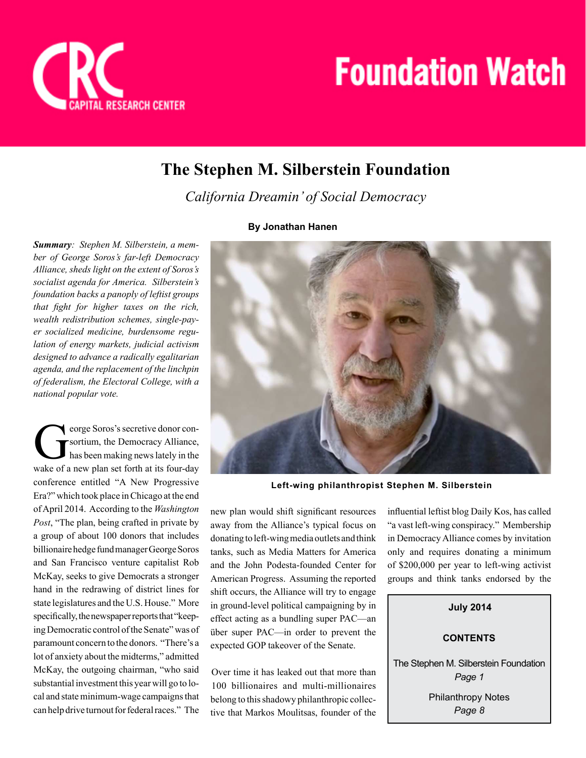

## **The Stephen M. Silberstein Foundation**

*California Dreamin' of Social Democracy*

## **By Jonathan Hanen**



**Left-wing philanthropist Stephen M. Silberstein**

new plan would shift significant resources away from the Alliance's typical focus on donating to left-wing media outlets and think tanks, such as Media Matters for America and the John Podesta-founded Center for American Progress. Assuming the reported shift occurs, the Alliance will try to engage in ground-level political campaigning by in effect acting as a bundling super PAC—an über super PAC—in order to prevent the expected GOP takeover of the Senate.

Over time it has leaked out that more than 100 billionaires and multi-millionaires belong to this shadowy philanthropic collective that Markos Moulitsas, founder of the

influential leftist blog Daily Kos, has called "a vast left-wing conspiracy." Membership in Democracy Alliance comes by invitation only and requires donating a minimum of \$200,000 per year to left-wing activist groups and think tanks endorsed by the

**CONTENTS July 2014** The Stephen M. Silberstein Foundation *Page 1*

Philanthropy Notes *Page 8*

*ber of George Soros's far-left Democracy Alliance, sheds light on the extent of Soros's socialist agenda for America. Silberstein's foundation backs a panoply of leftist groups that fight for higher taxes on the rich, wealth redistribution schemes, single-payer socialized medicine, burdensome regu-*

*lation of energy markets, judicial activism designed to advance a radically egalitarian agenda, and the replacement of the linchpin of federalism, the Electoral College, with a national popular vote.* 

*Summary: Stephen M. Silberstein, a mem-*

eorge Soros's secretive donor con-<br>sortium, the Democracy Alliance,<br>has been making news lately in the<br>wake of a new plan set forth at its four-day eorge Soros's secretive donor consortium, the Democracy Alliance, has been making news lately in the conference entitled "A New Progressive Era?" which took place in Chicago at the end of April 2014. According to the *Washington Post*, "The plan, being crafted in private by a group of about 100 donors that includes billionaire hedge fund manager George Soros and San Francisco venture capitalist Rob McKay, seeks to give Democrats a stronger hand in the redrawing of district lines for state legislatures and the U.S. House." More specifically, the newspaper reports that "keeping Democratic control of the Senate" was of paramount concern to the donors. "There's a lot of anxiety about the midterms," admitted McKay, the outgoing chairman, "who said substantial investment this year will go to local and state minimum-wage campaigns that can help drive turnout for federal races." The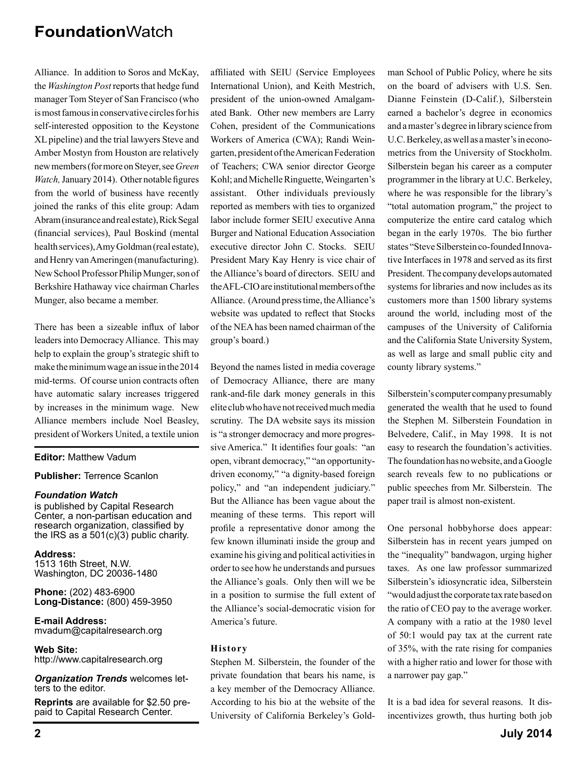Alliance. In addition to Soros and McKay, the *Washington Post* reports that hedge fund manager Tom Steyer of San Francisco (who is most famous in conservative circles for his self-interested opposition to the Keystone XL pipeline) and the trial lawyers Steve and Amber Mostyn from Houston are relatively new members (for more on Steyer, see *Green Watch, January 2014*). Other notable figures from the world of business have recently joined the ranks of this elite group: Adam Abram (insurance and real estate), Rick Segal (financial services), Paul Boskind (mental health services), Amy Goldman (real estate), and Henry van Ameringen (manufacturing). New School Professor Philip Munger, son of Berkshire Hathaway vice chairman Charles Munger, also became a member.

There has been a sizeable influx of labor leaders into Democracy Alliance. This may help to explain the group's strategic shift to make the minimum wage an issue in the 2014 mid-terms. Of course union contracts often have automatic salary increases triggered by increases in the minimum wage. New Alliance members include Noel Beasley, president of Workers United, a textile union

#### **Editor:** Matthew Vadum

#### **Publisher:** Terrence Scanlon

#### *Foundation Watch*

is published by Capital Research Center, a non-partisan education and research organization, classified by the IRS as a 501(c)(3) public charity.

**Address:** 1513 16th Street, N.W. Washington, DC 20036-1480

**Phone:** (202) 483-6900 **Long-Distance:** (800) 459-3950

**E-mail Address:** mvadum@capitalresearch.org

**Web Site:** http://www.capitalresearch.org

*Organization Trends* welcomes letters to the editor.

**Reprints** are available for \$2.50 prepaid to Capital Research Center.

affiliated with SEIU (Service Employees International Union), and Keith Mestrich, president of the union-owned Amalgamated Bank. Other new members are Larry Cohen, president of the Communications Workers of America (CWA); Randi Weingarten, president of the American Federation of Teachers; CWA senior director George Kohl; and Michelle Ringuette, Weingarten's assistant. Other individuals previously reported as members with ties to organized labor include former SEIU executive Anna Burger and National Education Association executive director John C. Stocks. SEIU President Mary Kay Henry is vice chair of the Alliance's board of directors. SEIU and the AFL-CIO are institutional members of the Alliance. (Around press time, the Alliance's website was updated to reflect that Stocks of the NEA has been named chairman of the group's board.)

Beyond the names listed in media coverage of Democracy Alliance, there are many rank-and-file dark money generals in this elite club who have not received much media scrutiny. The DA website says its mission is "a stronger democracy and more progressive America." It identifies four goals: "an open, vibrant democracy," "an opportunitydriven economy," "a dignity-based foreign policy," and "an independent judiciary." But the Alliance has been vague about the meaning of these terms. This report will profile a representative donor among the few known illuminati inside the group and examine his giving and political activities in order to see how he understands and pursues the Alliance's goals. Only then will we be in a position to surmise the full extent of the Alliance's social-democratic vision for America's future.

#### **History**

Stephen M. Silberstein, the founder of the private foundation that bears his name, is a key member of the Democracy Alliance. According to his bio at the website of the University of California Berkeley's Gold-

man School of Public Policy, where he sits on the board of advisers with U.S. Sen. Dianne Feinstein (D-Calif.), Silberstein earned a bachelor's degree in economics and a master's degree in library science from U.C. Berkeley, as well as a master's in econometrics from the University of Stockholm. Silberstein began his career as a computer programmer in the library at U.C. Berkeley, where he was responsible for the library's "total automation program," the project to computerize the entire card catalog which began in the early 1970s. The bio further states "Steve Silberstein co-founded Innovative Interfaces in 1978 and served as its first President. The company develops automated systems for libraries and now includes as its customers more than 1500 library systems around the world, including most of the campuses of the University of California and the California State University System, as well as large and small public city and county library systems."

Silberstein's computer company presumably generated the wealth that he used to found the Stephen M. Silberstein Foundation in Belvedere, Calif., in May 1998. It is not easy to research the foundation's activities. The foundation has no website, and a Google search reveals few to no publications or public speeches from Mr. Silberstein. The paper trail is almost non-existent.

One personal hobbyhorse does appear: Silberstein has in recent years jumped on the "inequality" bandwagon, urging higher taxes. As one law professor summarized Silberstein's idiosyncratic idea, Silberstein "would adjust the corporate tax rate based on the ratio of CEO pay to the average worker. A company with a ratio at the 1980 level of 50:1 would pay tax at the current rate of 35%, with the rate rising for companies with a higher ratio and lower for those with a narrower pay gap."

It is a bad idea for several reasons. It disincentivizes growth, thus hurting both job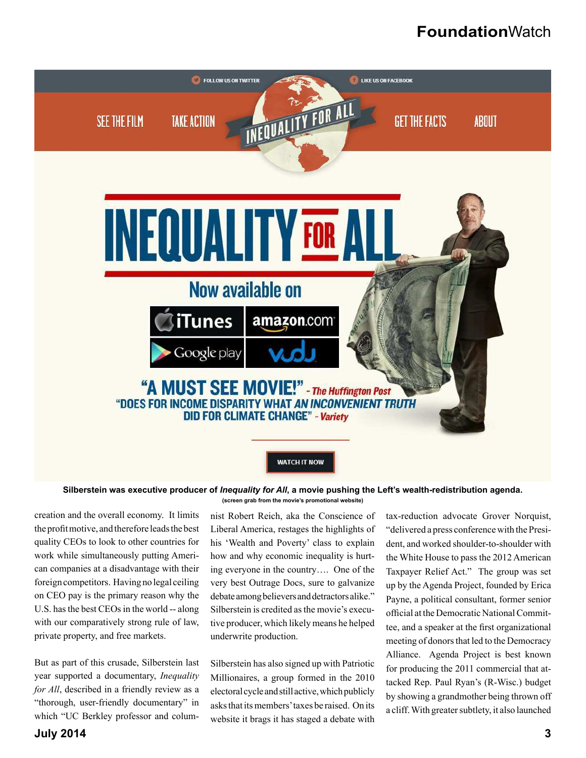

#### **Silberstein was executive producer of** *Inequality for All***, a movie pushing the Left's wealth-redistribution agenda. (screen grab from the movie's promotional website)**

creation and the overall economy. It limits the profit motive, and therefore leads the best quality CEOs to look to other countries for work while simultaneously putting American companies at a disadvantage with their foreign competitors. Having no legal ceiling on CEO pay is the primary reason why the U.S. has the best CEOs in the world -- along with our comparatively strong rule of law, private property, and free markets.

But as part of this crusade, Silberstein last year supported a documentary, *Inequality for All*, described in a friendly review as a "thorough, user-friendly documentary" in which "UC Berkley professor and columnist Robert Reich, aka the Conscience of Liberal America, restages the highlights of his 'Wealth and Poverty' class to explain how and why economic inequality is hurting everyone in the country…. One of the very best Outrage Docs, sure to galvanize debate among believers and detractors alike." Silberstein is credited as the movie's executive producer, which likely means he helped underwrite production.

Silberstein has also signed up with Patriotic Millionaires, a group formed in the 2010 electoral cycle and still active, which publicly asks that its members' taxes be raised. On its website it brags it has staged a debate with

tax-reduction advocate Grover Norquist, "delivered a press conference with the President, and worked shoulder-to-shoulder with the White House to pass the 2012 American Taxpayer Relief Act." The group was set up by the Agenda Project, founded by Erica Payne, a political consultant, former senior official at the Democratic National Committee, and a speaker at the first organizational meeting of donors that led to the Democracy Alliance. Agenda Project is best known for producing the 2011 commercial that attacked Rep. Paul Ryan's (R-Wisc.) budget by showing a grandmother being thrown off a cliff. With greater subtlety, it also launched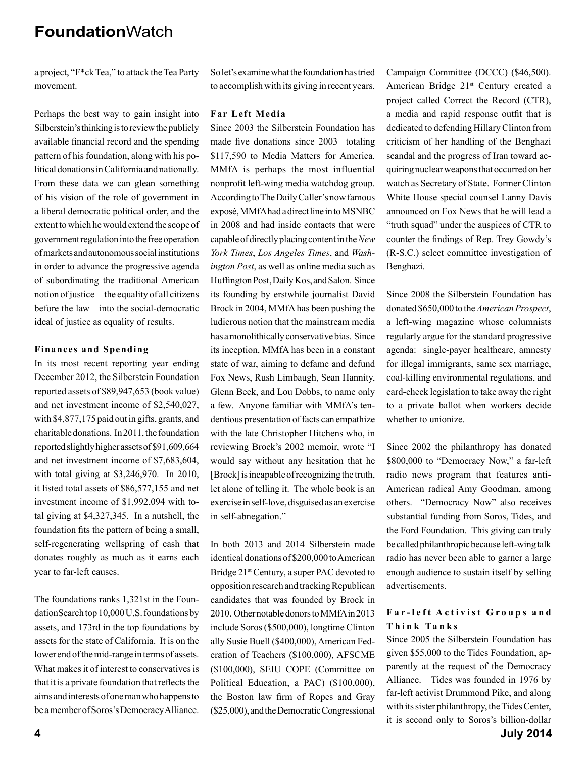a project, "F\*ck Tea," to attack the Tea Party movement.

Perhaps the best way to gain insight into Silberstein's thinking is to review the publicly available financial record and the spending pattern of his foundation, along with his political donations in California and nationally. From these data we can glean something of his vision of the role of government in a liberal democratic political order, and the extent to which he would extend the scope of government regulation into the free operation of markets and autonomous social institutions in order to advance the progressive agenda of subordinating the traditional American notion of justice—the equality of all citizens before the law—into the social-democratic ideal of justice as equality of results.

#### **Finances and Spending**

In its most recent reporting year ending December 2012, the Silberstein Foundation reported assets of \$89,947,653 (book value) and net investment income of \$2,540,027, with \$4,877,175 paid out in gifts, grants, and charitable donations. In 2011, the foundation reported slightly higher assets of \$91,609,664 and net investment income of \$7,683,604, with total giving at \$3,246,970. In 2010, it listed total assets of \$86,577,155 and net investment income of \$1,992,094 with total giving at \$4,327,345. In a nutshell, the foundation fits the pattern of being a small, self-regenerating wellspring of cash that donates roughly as much as it earns each year to far-left causes.

The foundations ranks 1,321st in the FoundationSearch top 10,000 U.S. foundations by assets, and 173rd in the top foundations by assets for the state of California. It is on the lower end of the mid-range in terms of assets. What makes it of interest to conservatives is that it is a private foundation that reflects the aims and interests of one man who happens to be a member of Soros's Democracy Alliance.

So let's examine what the foundation has tried to accomplish with its giving in recent years.

#### **Far Left Media**

Since 2003 the Silberstein Foundation has made five donations since 2003 totaling \$117,590 to Media Matters for America. MMfA is perhaps the most influential nonprofit left-wing media watchdog group. According to The Daily Caller's now famous exposé, MMfA had a direct line in to MSNBC in 2008 and had inside contacts that were capable of directly placing content in the *New York Times*, *Los Angeles Times*, and *Washington Post*, as well as online media such as Huffington Post, Daily Kos, and Salon. Since its founding by erstwhile journalist David Brock in 2004, MMfA has been pushing the ludicrous notion that the mainstream media has a monolithically conservative bias. Since its inception, MMfA has been in a constant state of war, aiming to defame and defund Fox News, Rush Limbaugh, Sean Hannity, Glenn Beck, and Lou Dobbs, to name only a few. Anyone familiar with MMfA's tendentious presentation of facts can empathize with the late Christopher Hitchens who, in reviewing Brock's 2002 memoir, wrote "I would say without any hesitation that he [Brock] is incapable of recognizing the truth, let alone of telling it. The whole book is an exercise in self-love, disguised as an exercise in self-abnegation."

In both 2013 and 2014 Silberstein made identical donations of \$200,000 to American Bridge 21<sup>st</sup> Century, a super PAC devoted to opposition research and tracking Republican candidates that was founded by Brock in 2010. Other notable donors to MMfA in 2013 include Soros (\$500,000), longtime Clinton ally Susie Buell (\$400,000), American Federation of Teachers (\$100,000), AFSCME (\$100,000), SEIU COPE (Committee on Political Education, a PAC) (\$100,000), the Boston law firm of Ropes and Gray (\$25,000), and the Democratic Congressional Campaign Committee (DCCC) (\$46,500). American Bridge 21<sup>st</sup> Century created a project called Correct the Record (CTR), a media and rapid response outfit that is dedicated to defending Hillary Clinton from criticism of her handling of the Benghazi scandal and the progress of Iran toward acquiring nuclear weapons that occurred on her watch as Secretary of State. Former Clinton White House special counsel Lanny Davis announced on Fox News that he will lead a "truth squad" under the auspices of CTR to counter the findings of Rep. Trey Gowdy's (R-S.C.) select committee investigation of Benghazi.

Since 2008 the Silberstein Foundation has donated \$650,000 to the *American Prospect*, a left-wing magazine whose columnists regularly argue for the standard progressive agenda: single-payer healthcare, amnesty for illegal immigrants, same sex marriage, coal-killing environmental regulations, and card-check legislation to take away the right to a private ballot when workers decide whether to unionize.

Since 2002 the philanthropy has donated \$800,000 to "Democracy Now," a far-left radio news program that features anti-American radical Amy Goodman, among others. "Democracy Now" also receives substantial funding from Soros, Tides, and the Ford Foundation. This giving can truly be called philanthropic because left-wing talk radio has never been able to garner a large enough audience to sustain itself by selling advertisements.

#### **Far-left Activist Groups and T h i n k Ta n k s**

Since 2005 the Silberstein Foundation has given \$55,000 to the Tides Foundation, apparently at the request of the Democracy Alliance. Tides was founded in 1976 by far-left activist Drummond Pike, and along with its sister philanthropy, the Tides Center, it is second only to Soros's billion-dollar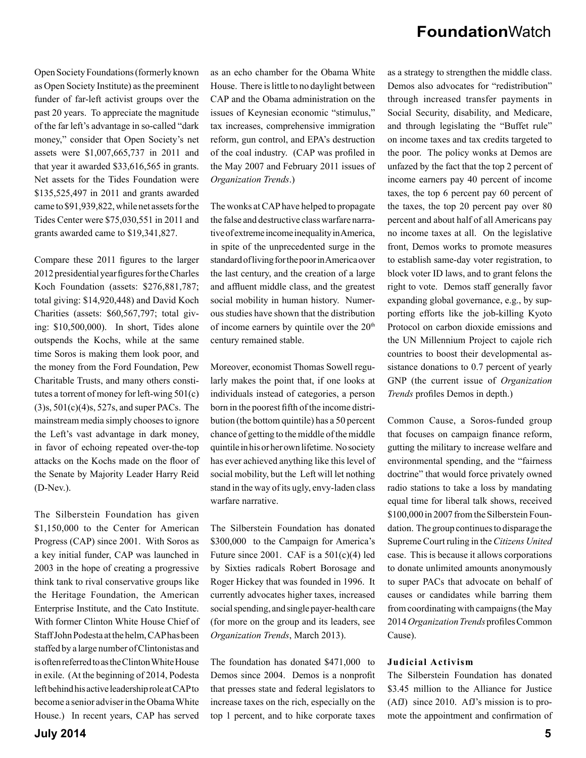Open Society Foundations (formerly known as Open Society Institute) as the preeminent funder of far-left activist groups over the past 20 years. To appreciate the magnitude of the far left's advantage in so-called "dark money," consider that Open Society's net assets were \$1,007,665,737 in 2011 and that year it awarded \$33,616,565 in grants. Net assets for the Tides Foundation were \$135,525,497 in 2011 and grants awarded came to \$91,939,822, while net assets for the Tides Center were \$75,030,551 in 2011 and grants awarded came to \$19,341,827.

Compare these 2011 figures to the larger 2012 presidential year figures for the Charles Koch Foundation (assets: \$276,881,787; total giving: \$14,920,448) and David Koch Charities (assets: \$60,567,797; total giving: \$10,500,000). In short, Tides alone outspends the Kochs, while at the same time Soros is making them look poor, and the money from the Ford Foundation, Pew Charitable Trusts, and many others constitutes a torrent of money for left-wing 501(c) (3)s, 501(c)(4)s, 527s, and super PACs. The mainstream media simply chooses to ignore the Left's vast advantage in dark money, in favor of echoing repeated over-the-top attacks on the Kochs made on the floor of the Senate by Majority Leader Harry Reid (D-Nev.).

The Silberstein Foundation has given \$1,150,000 to the Center for American Progress (CAP) since 2001. With Soros as a key initial funder, CAP was launched in 2003 in the hope of creating a progressive think tank to rival conservative groups like the Heritage Foundation, the American Enterprise Institute, and the Cato Institute. With former Clinton White House Chief of Staff John Podesta at the helm, CAP has been staffed by a large number of Clintonistas and is often referred to as the Clinton White House in exile. (At the beginning of 2014, Podesta left behind his active leadership role at CAP to become a senior adviser in the Obama White House.) In recent years, CAP has served

as an echo chamber for the Obama White House. There is little to no daylight between CAP and the Obama administration on the issues of Keynesian economic "stimulus," tax increases, comprehensive immigration reform, gun control, and EPA's destruction of the coal industry. (CAP was profiled in the May 2007 and February 2011 issues of *Organization Trends*.)

The wonks at CAP have helped to propagate the false and destructive class warfare narrative of extreme income inequality in America. in spite of the unprecedented surge in the standard of living for the poor in America over the last century, and the creation of a large and affluent middle class, and the greatest social mobility in human history. Numerous studies have shown that the distribution of income earners by quintile over the  $20<sup>th</sup>$ century remained stable.

Moreover, economist Thomas Sowell regularly makes the point that, if one looks at individuals instead of categories, a person born in the poorest fifth of the income distribution (the bottom quintile) has a 50 percent chance of getting to the middle of the middle quintile in his or her own lifetime. No society has ever achieved anything like this level of social mobility, but the Left will let nothing stand in the way of its ugly, envy-laden class warfare narrative.

The Silberstein Foundation has donated \$300,000 to the Campaign for America's Future since 2001. CAF is a  $501(c)(4)$  led by Sixties radicals Robert Borosage and Roger Hickey that was founded in 1996. It currently advocates higher taxes, increased social spending, and single payer-health care (for more on the group and its leaders, see *Organization Trends*, March 2013).

The foundation has donated \$471,000 to Demos since 2004. Demos is a nonprofit that presses state and federal legislators to increase taxes on the rich, especially on the top 1 percent, and to hike corporate taxes as a strategy to strengthen the middle class. Demos also advocates for "redistribution" through increased transfer payments in Social Security, disability, and Medicare, and through legislating the "Buffet rule" on income taxes and tax credits targeted to the poor. The policy wonks at Demos are unfazed by the fact that the top 2 percent of income earners pay 40 percent of income taxes, the top 6 percent pay 60 percent of the taxes, the top 20 percent pay over 80 percent and about half of all Americans pay no income taxes at all. On the legislative front, Demos works to promote measures to establish same-day voter registration, to block voter ID laws, and to grant felons the right to vote. Demos staff generally favor expanding global governance, e.g., by supporting efforts like the job-killing Kyoto Protocol on carbon dioxide emissions and the UN Millennium Project to cajole rich countries to boost their developmental assistance donations to 0.7 percent of yearly GNP (the current issue of *Organization Trends* profiles Demos in depth.)

Common Cause, a Soros-funded group that focuses on campaign finance reform, gutting the military to increase welfare and environmental spending, and the "fairness doctrine" that would force privately owned radio stations to take a loss by mandating equal time for liberal talk shows, received \$100,000 in 2007 from the Silberstein Foundation. The group continues to disparage the Supreme Court ruling in the *Citizens United* case. This is because it allows corporations to donate unlimited amounts anonymously to super PACs that advocate on behalf of causes or candidates while barring them from coordinating with campaigns (the May 2014 *Organization Trends* profiles Common Cause).

#### **Judicial Activism**

The Silberstein Foundation has donated \$3.45 million to the Alliance for Justice (AfJ) since 2010. AfJ's mission is to promote the appointment and confirmation of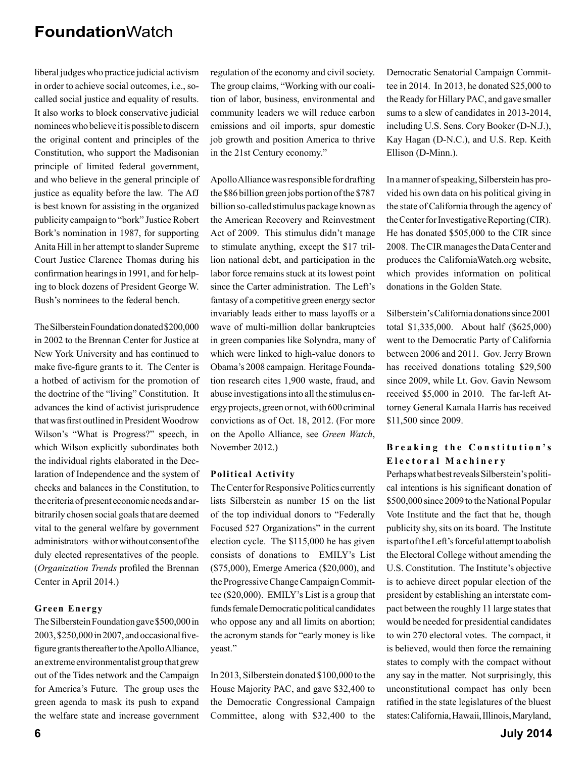liberal judges who practice judicial activism in order to achieve social outcomes, i.e., socalled social justice and equality of results. It also works to block conservative judicial nominees who believe it is possible to discern the original content and principles of the Constitution, who support the Madisonian principle of limited federal government, and who believe in the general principle of justice as equality before the law. The AfJ is best known for assisting in the organized publicity campaign to "bork" Justice Robert Bork's nomination in 1987, for supporting Anita Hill in her attempt to slander Supreme Court Justice Clarence Thomas during his confirmation hearings in 1991, and for helping to block dozens of President George W. Bush's nominees to the federal bench.

The Silberstein Foundation donated \$200,000 in 2002 to the Brennan Center for Justice at New York University and has continued to make five-figure grants to it. The Center is a hotbed of activism for the promotion of the doctrine of the "living" Constitution. It advances the kind of activist jurisprudence that was first outlined in President Woodrow Wilson's "What is Progress?" speech, in which Wilson explicitly subordinates both the individual rights elaborated in the Declaration of Independence and the system of checks and balances in the Constitution, to the criteria of present economic needs and arbitrarily chosen social goals that are deemed vital to the general welfare by government administrators–with or without consent of the duly elected representatives of the people. (*Organization Trends* profiled the Brennan Center in April 2014.)

#### **Green Energy**

The Silberstein Foundation gave \$500,000 in 2003, \$250,000 in 2007, and occasional fivefigure grants thereafter to the Apollo Alliance, an extreme environmentalist group that grew out of the Tides network and the Campaign for America's Future. The group uses the green agenda to mask its push to expand the welfare state and increase government

regulation of the economy and civil society. The group claims, "Working with our coalition of labor, business, environmental and community leaders we will reduce carbon emissions and oil imports, spur domestic job growth and position America to thrive in the 21st Century economy."

Apollo Alliance was responsible for drafting the \$86 billion green jobs portion of the \$787 billion so-called stimulus package known as the American Recovery and Reinvestment Act of 2009. This stimulus didn't manage to stimulate anything, except the \$17 trillion national debt, and participation in the labor force remains stuck at its lowest point since the Carter administration. The Left's fantasy of a competitive green energy sector invariably leads either to mass layoffs or a wave of multi-million dollar bankruptcies in green companies like Solyndra, many of which were linked to high-value donors to Obama's 2008 campaign. Heritage Foundation research cites 1,900 waste, fraud, and abuse investigations into all the stimulus energy projects, green or not, with 600 criminal convictions as of Oct. 18, 2012. (For more on the Apollo Alliance, see *Green Watch*, November 2012.)

#### **Political Activity**

The Center for Responsive Politics currently lists Silberstein as number 15 on the list of the top individual donors to "Federally Focused 527 Organizations" in the current election cycle. The \$115,000 he has given consists of donations to EMILY's List (\$75,000), Emerge America (\$20,000), and the Progressive Change Campaign Committee (\$20,000). EMILY's List is a group that funds female Democratic political candidates who oppose any and all limits on abortion; the acronym stands for "early money is like yeast."

In 2013, Silberstein donated \$100,000 to the House Majority PAC, and gave \$32,400 to the Democratic Congressional Campaign Committee, along with \$32,400 to the Democratic Senatorial Campaign Committee in 2014. In 2013, he donated \$25,000 to the Ready for Hillary PAC, and gave smaller sums to a slew of candidates in 2013-2014, including U.S. Sens. Cory Booker (D-N.J.), Kay Hagan (D-N.C.), and U.S. Rep. Keith Ellison (D-Minn.).

In a manner of speaking, Silberstein has provided his own data on his political giving in the state of California through the agency of the Center for Investigative Reporting (CIR). He has donated \$505,000 to the CIR since 2008. The CIR manages the Data Center and produces the CaliforniaWatch.org website, which provides information on political donations in the Golden State.

Silberstein's California donations since 2001 total \$1,335,000. About half (\$625,000) went to the Democratic Party of California between 2006 and 2011. Gov. Jerry Brown has received donations totaling \$29,500 since 2009, while Lt. Gov. Gavin Newsom received \$5,000 in 2010. The far-left Attorney General Kamala Harris has received \$11,500 since 2009.

#### Breaking the Constitution's **E l e c t o r a l M a c h i n e r y**

Perhaps what best reveals Silberstein's political intentions is his significant donation of \$500,000 since 2009 to the National Popular Vote Institute and the fact that he, though publicity shy, sits on its board. The Institute is part of the Left's forceful attempt to abolish the Electoral College without amending the U.S. Constitution. The Institute's objective is to achieve direct popular election of the president by establishing an interstate compact between the roughly 11 large states that would be needed for presidential candidates to win 270 electoral votes. The compact, it is believed, would then force the remaining states to comply with the compact without any say in the matter. Not surprisingly, this unconstitutional compact has only been ratified in the state legislatures of the bluest states: California, Hawaii, Illinois, Maryland,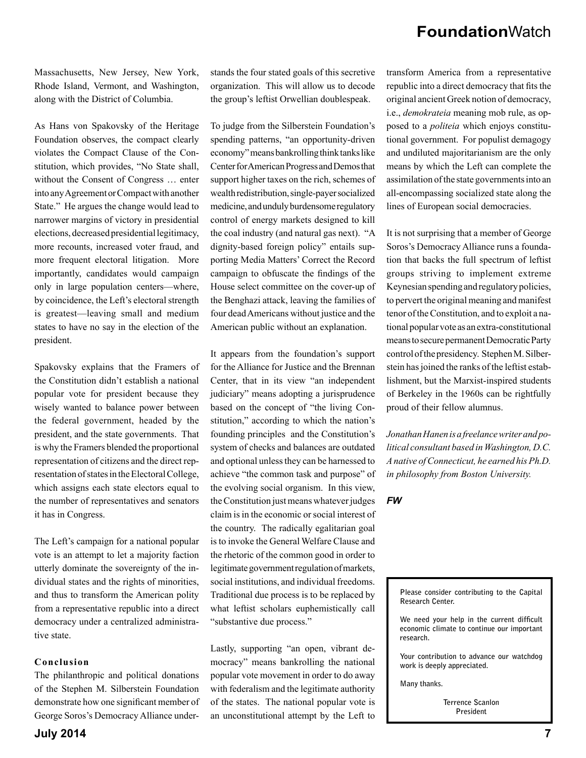Massachusetts, New Jersey, New York, Rhode Island, Vermont, and Washington, along with the District of Columbia.

As Hans von Spakovsky of the Heritage Foundation observes, the compact clearly violates the Compact Clause of the Constitution, which provides, "No State shall, without the Consent of Congress … enter into any Agreement or Compact with another State." He argues the change would lead to narrower margins of victory in presidential elections, decreased presidential legitimacy, more recounts, increased voter fraud, and more frequent electoral litigation. More importantly, candidates would campaign only in large population centers—where, by coincidence, the Left's electoral strength is greatest—leaving small and medium states to have no say in the election of the president.

Spakovsky explains that the Framers of the Constitution didn't establish a national popular vote for president because they wisely wanted to balance power between the federal government, headed by the president, and the state governments. That is why the Framers blended the proportional representation of citizens and the direct representation of states in the Electoral College, which assigns each state electors equal to the number of representatives and senators it has in Congress.

The Left's campaign for a national popular vote is an attempt to let a majority faction utterly dominate the sovereignty of the individual states and the rights of minorities, and thus to transform the American polity from a representative republic into a direct democracy under a centralized administrative state.

#### **Conclusion**

The philanthropic and political donations of the Stephen M. Silberstein Foundation demonstrate how one significant member of George Soros's Democracy Alliance understands the four stated goals of this secretive organization. This will allow us to decode the group's leftist Orwellian doublespeak.

To judge from the Silberstein Foundation's spending patterns, "an opportunity-driven economy" means bankrolling think tanks like Center for American Progress and Demos that support higher taxes on the rich, schemes of wealth redistribution, single-payer socialized medicine, and unduly burdensome regulatory control of energy markets designed to kill the coal industry (and natural gas next). "A dignity-based foreign policy" entails supporting Media Matters' Correct the Record campaign to obfuscate the findings of the House select committee on the cover-up of the Benghazi attack, leaving the families of four dead Americans without justice and the American public without an explanation.

It appears from the foundation's support for the Alliance for Justice and the Brennan Center, that in its view "an independent judiciary" means adopting a jurisprudence based on the concept of "the living Constitution," according to which the nation's founding principles and the Constitution's system of checks and balances are outdated and optional unless they can be harnessed to achieve "the common task and purpose" of the evolving social organism. In this view, the Constitution just means whatever judges claim is in the economic or social interest of the country. The radically egalitarian goal is to invoke the General Welfare Clause and the rhetoric of the common good in order to legitimate government regulation of markets, social institutions, and individual freedoms. Traditional due process is to be replaced by what leftist scholars euphemistically call "substantive due process."

Lastly, supporting "an open, vibrant democracy" means bankrolling the national popular vote movement in order to do away with federalism and the legitimate authority of the states. The national popular vote is an unconstitutional attempt by the Left to transform America from a representative republic into a direct democracy that fits the original ancient Greek notion of democracy, i.e., *demokrateia* meaning mob rule, as opposed to a *politeia* which enjoys constitutional government. For populist demagogy and undiluted majoritarianism are the only means by which the Left can complete the assimilation of the state governments into an all-encompassing socialized state along the lines of European social democracies.

It is not surprising that a member of George Soros's Democracy Alliance runs a foundation that backs the full spectrum of leftist groups striving to implement extreme Keynesian spending and regulatory policies, to pervert the original meaning and manifest tenor of the Constitution, and to exploit a national popular vote as an extra-constitutional means to secure permanent Democratic Party control of the presidency. Stephen M. Silberstein has joined the ranks of the leftist establishment, but the Marxist-inspired students of Berkeley in the 1960s can be rightfully proud of their fellow alumnus.

*Jonathan Hanen is a freelance writer and political consultant based in Washington, D.C. A native of Connecticut, he earned his Ph.D. in philosophy from Boston University.*

*FW*



**Your contribution to advance our watchdog work is deeply appreciated.** 

**Many thanks.** 

**Terrence Scanlon President**